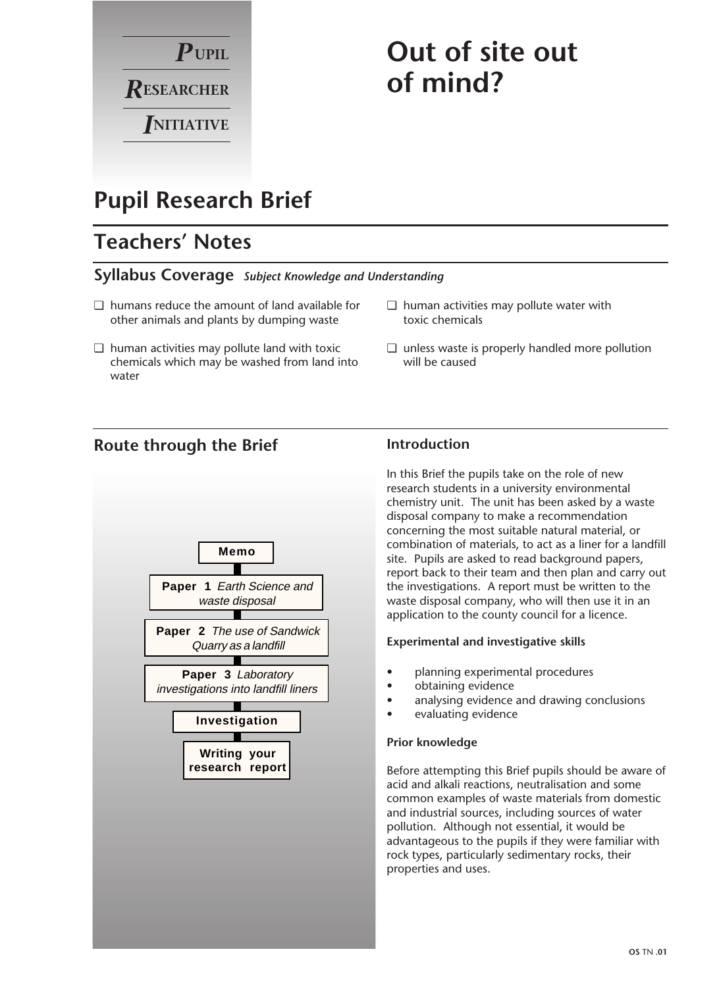

# **Out of site out of mind?**

## **Pupil Research Brief**

## **Teachers' Notes**

#### **Syllabus Coverage** *Subject Knowledge and Understanding*

- ❏ humans reduce the amount of land available for other animals and plants by dumping waste
- ❏ human activities may pollute land with toxic chemicals which may be washed from land into water

### **Route through the Brief**



#### ❏ human activities may pollute water with toxic chemicals

❏ unless waste is properly handled more pollution will be caused

#### **Introduction**

In this Brief the pupils take on the role of new research students in a university environmental chemistry unit. The unit has been asked by a waste disposal company to make a recommendation concerning the most suitable natural material, or combination of materials, to act as a liner for a landfill site. Pupils are asked to read background papers, report back to their team and then plan and carry out the investigations. A report must be written to the waste disposal company, who will then use it in an application to the county council for a licence.

#### **Experimental and investigative skills**

- planning experimental procedures
- obtaining evidence
- analysing evidence and drawing conclusions
- evaluating evidence

#### **Prior knowledge**

Before attempting this Brief pupils should be aware of acid and alkali reactions, neutralisation and some common examples of waste materials from domestic and industrial sources, including sources of water pollution. Although not essential, it would be advantageous to the pupils if they were familiar with rock types, particularly sedimentary rocks, their properties and uses.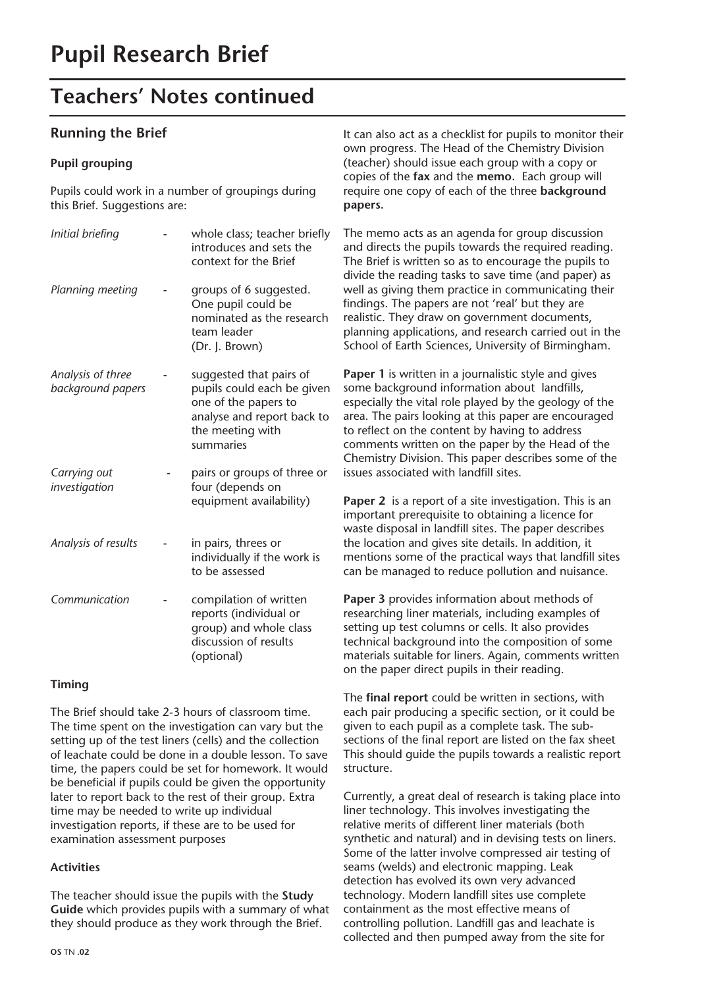#### **Running the Brief**

#### **Pupil grouping**

Pupils could work in a number of groupings during this Brief. Suggestions are:

| Initial briefing                       | whole class; teacher briefly<br>introduces and sets the<br>context for the Brief                                                             |
|----------------------------------------|----------------------------------------------------------------------------------------------------------------------------------------------|
| Planning meeting                       | groups of 6 suggested.<br>One pupil could be<br>nominated as the research<br>team leader<br>(Dr. J. Brown)                                   |
| Analysis of three<br>background papers | suggested that pairs of<br>pupils could each be given<br>one of the papers to<br>analyse and report back to<br>the meeting with<br>summaries |
| Carrying out<br>investigation          | pairs or groups of three or<br>four (depends on<br>equipment availability)                                                                   |
| Analysis of results                    | in pairs, threes or<br>individually if the work is<br>to be assessed                                                                         |
| Communication                          | compilation of written<br>reports (individual or<br>group) and whole class<br>discussion of results<br>(optional)                            |

#### **Timing**

The Brief should take 2-3 hours of classroom time. The time spent on the investigation can vary but the setting up of the test liners (cells) and the collection of leachate could be done in a double lesson. To save time, the papers could be set for homework. It would be beneficial if pupils could be given the opportunity later to report back to the rest of their group. Extra time may be needed to write up individual investigation reports, if these are to be used for examination assessment purposes

#### **Activities**

The teacher should issue the pupils with the **Study Guide** which provides pupils with a summary of what they should produce as they work through the Brief.

It can also act as a checklist for pupils to monitor their own progress. The Head of the Chemistry Division (teacher) should issue each group with a copy or copies of the **fax** and the **memo.** Each group will require one copy of each of the three **background papers.**

The memo acts as an agenda for group discussion and directs the pupils towards the required reading. The Brief is written so as to encourage the pupils to divide the reading tasks to save time (and paper) as well as giving them practice in communicating their findings. The papers are not 'real' but they are realistic. They draw on government documents, planning applications, and research carried out in the School of Earth Sciences, University of Birmingham.

**Paper 1** is written in a journalistic style and gives some background information about landfills, especially the vital role played by the geology of the area. The pairs looking at this paper are encouraged to reflect on the content by having to address comments written on the paper by the Head of the Chemistry Division. This paper describes some of the issues associated with landfill sites.

**Paper 2** is a report of a site investigation. This is an important prerequisite to obtaining a licence for waste disposal in landfill sites. The paper describes the location and gives site details. In addition, it mentions some of the practical ways that landfill sites can be managed to reduce pollution and nuisance.

**Paper 3** provides information about methods of researching liner materials, including examples of setting up test columns or cells. It also provides technical background into the composition of some materials suitable for liners. Again, comments written on the paper direct pupils in their reading.

The **final report** could be written in sections, with each pair producing a specific section, or it could be given to each pupil as a complete task. The subsections of the final report are listed on the fax sheet This should guide the pupils towards a realistic report structure.

Currently, a great deal of research is taking place into liner technology. This involves investigating the relative merits of different liner materials (both synthetic and natural) and in devising tests on liners. Some of the latter involve compressed air testing of seams (welds) and electronic mapping. Leak detection has evolved its own very advanced technology. Modern landfill sites use complete containment as the most effective means of controlling pollution. Landfill gas and leachate is collected and then pumped away from the site for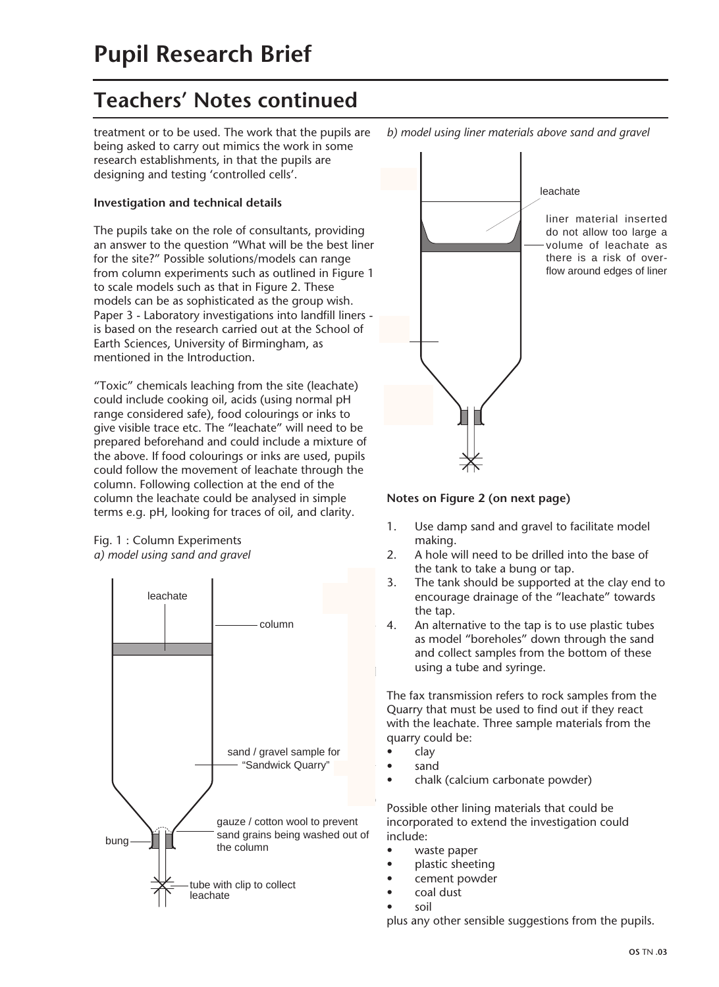treatment or to be used. The work that the pupils are being asked to carry out mimics the work in some research establishments, in that the pupils are designing and testing 'controlled cells'.

#### **Investigation and technical details**

The pupils take on the role of consultants, providing an answer to the question "What will be the best liner for the site?" Possible solutions/models can range from column experiments such as outlined in Figure 1 to scale models such as that in Figure 2. These models can be as sophisticated as the group wish. Paper 3 - Laboratory investigations into landfill liners is based on the research carried out at the School of Earth Sciences, University of Birmingham, as mentioned in the Introduction.

"Toxic" chemicals leaching from the site (leachate) could include cooking oil, acids (using normal pH range considered safe), food colourings or inks to give visible trace etc. The "leachate" will need to be prepared beforehand and could include a mixture of the above. If food colourings or inks are used, pupils could follow the movement of leachate through the column. Following collection at the end of the column the leachate could be analysed in simple terms e.g. pH, looking for traces of oil, and clarity.

#### Fig. 1 : Column Experiments *a) model using sand and gravel*





### **Notes on Figure 2 (on next page)**

- 1. Use damp sand and gravel to facilitate model making.
- 2. A hole will need to be drilled into the base of the tank to take a bung or tap.
- 3. The tank should be supported at the clay end to encourage drainage of the "leachate" towards the tap.
- 4. An alternative to the tap is to use plastic tubes as model "boreholes" down through the sand and collect samples from the bottom of these using a tube and syringe.

The fax transmission refers to rock samples from the Quarry that must be used to find out if they react with the leachate. Three sample materials from the quarry could be:

- clay
- sand
- chalk (calcium carbonate powder)

Possible other lining materials that could be incorporated to extend the investigation could include:

- waste paper
- plastic sheeting
- cement powder
- coal dust
- soil

plus any other sensible suggestions from the pupils.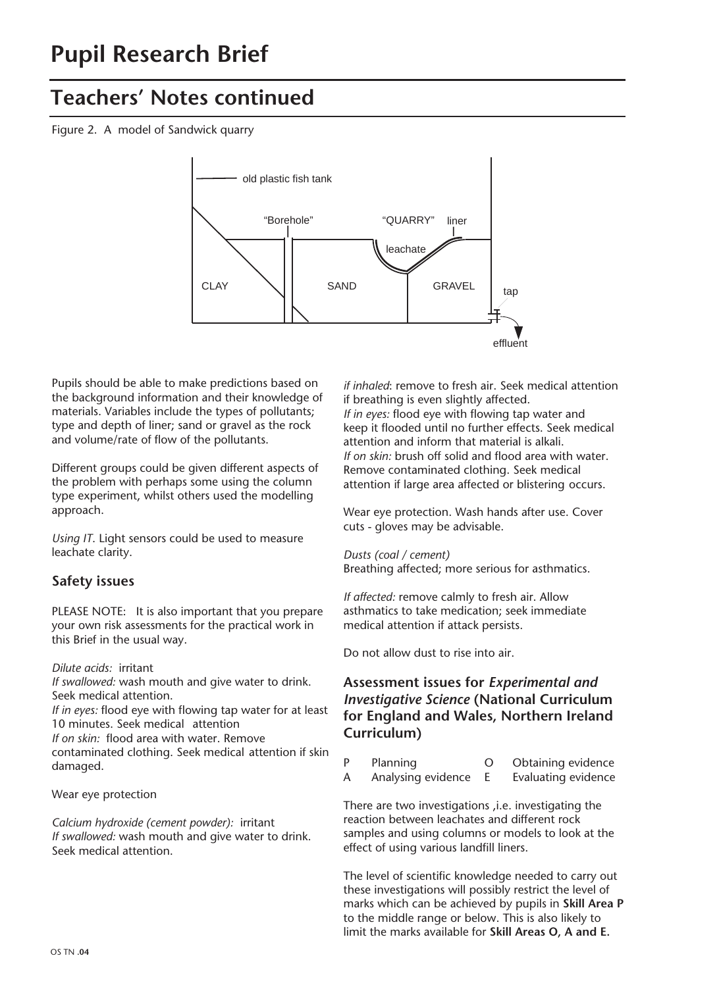Figure 2. A model of Sandwick quarry



Pupils should be able to make predictions based on the background information and their knowledge of materials. Variables include the types of pollutants; type and depth of liner; sand or gravel as the rock and volume/rate of flow of the pollutants.

Different groups could be given different aspects of the problem with perhaps some using the column type experiment, whilst others used the modelling approach.

*Using IT*. Light sensors could be used to measure leachate clarity.

### **Safety issues**

PLEASE NOTE: It is also important that you prepare your own risk assessments for the practical work in this Brief in the usual way.

*Dilute acids:* irritant

*If swallowed:* wash mouth and give water to drink. Seek medical attention.

*If in eyes:* flood eye with flowing tap water for at least 10 minutes. Seek medical attention

*If on skin:* flood area with water. Remove

contaminated clothing. Seek medical attention if skin damaged.

Wear eye protection

*Calcium hydroxide (cement powder):* irritant *If swallowed:* wash mouth and give water to drink. Seek medical attention.

*if inhaled*: remove to fresh air. Seek medical attention if breathing is even slightly affected. *If in eyes:* flood eye with flowing tap water and keep it flooded until no further effects. Seek medical attention and inform that material is alkali. *If on skin:* brush off solid and flood area with water. Remove contaminated clothing. Seek medical attention if large area affected or blistering occurs.

Wear eye protection. Wash hands after use. Cover cuts - gloves may be advisable.

*Dusts (coal / cement)* Breathing affected; more serious for asthmatics.

*If affected:* remove calmly to fresh air. Allow asthmatics to take medication; seek immediate medical attention if attack persists.

Do not allow dust to rise into air.

#### **Assessment issues for** *Experimental and Investigative Science* **(National Curriculum for England and Wales, Northern Ireland Curriculum)**

- P Planning 0 Obtaining evidence
- A Analysing evidence E Evaluating evidence

There are two investigations ,i.e. investigating the reaction between leachates and different rock samples and using columns or models to look at the effect of using various landfill liners.

The level of scientific knowledge needed to carry out these investigations will possibly restrict the level of marks which can be achieved by pupils in **Skill Area P** to the middle range or below. This is also likely to limit the marks available for **Skill Areas O, A and E.**